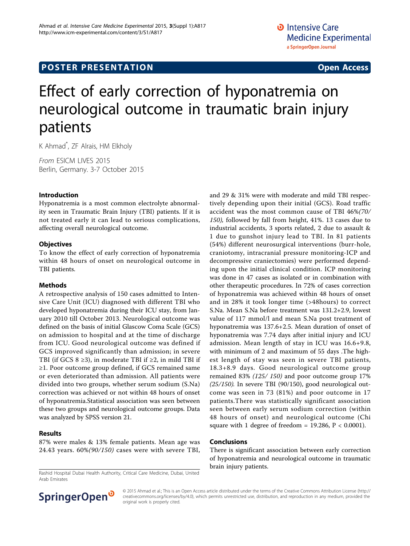# Effect of early correction of hyponatremia on neurological outcome in traumatic brain injury patients

K Ahmad\* , ZF Alrais, HM Elkholy

From ESICM LIVES 2015 Berlin, Germany. 3-7 October 2015

#### Introduction

Hyponatremia is a most common electrolyte abnormality seen in Traumatic Brain Injury (TBI) patients. If it is not treated early it can lead to serious complications, affecting overall neurological outcome.

#### **Objectives**

To know the effect of early correction of hyponatremia within 48 hours of onset on neurological outcome in TBI patients.

### Methods

A retrospective analysis of 150 cases admitted to Intensive Care Unit (ICU) diagnosed with different TBI who developed hyponatremia during their ICU stay, from January 2010 till October 2013. Neurological outcome was defined on the basis of initial Glascow Coma Scale (GCS) on admission to hospital and at the time of discharge from ICU. Good neurological outcome was defined if GCS improved significantly than admission; in severe TBI (if GCS 8 ≥3), in moderate TBI if ≥2, in mild TBI if ≥1. Poor outcome group defined, if GCS remained same or even deteriorated than admission. All patients were divided into two groups, whether serum sodium (S.Na) correction was achieved or not within 48 hours of onset of hyponatremia.Statistical association was seen between these two groups and neurological outcome groups. Data was analyzed by SPSS version 21.

#### Results

87% were males & 13% female patients. Mean age was 24.43 years. 60%(90/150) cases were with severe TBI,

There is significant association between early correction

of hyponatremia and neurological outcome in traumatic brain injury patients.





© 2015 Ahmad et al.; This is an Open Access article distributed under the terms of the Creative Commons Attribution License [\(http://](http://creativecommons.org/licenses/by/4.0) [creativecommons.org/licenses/by/4.0](http://creativecommons.org/licenses/by/4.0)), which permits unrestricted use, distribution, and reproduction in any medium, provided the original work is properly cited.

and 29 & 31% were with moderate and mild TBI respectively depending upon their initial (GCS). Road traffic accident was the most common cause of TBI 46%(70/ 150), followed by fall from height, 41%. 13 cases due to industrial accidents, 3 sports related, 2 due to assault & 1 due to gunshot injury lead to TBI. In 81 patients (54%) different neurosurgical interventions (burr-hole, craniotomy, intracranial pressure monitoring-ICP and decompressive craniectomies) were performed depending upon the initial clinical condition. ICP monitoring was done in 47 cases as isolated or in combination with other therapeutic procedures. In 72% of cases correction of hyponatremia was achieved within 48 hours of onset and in 28% it took longer time (>48hours) to correct S.Na. Mean S.Na before treatment was 131.2+2.9, lowest value of 117 mmol/l and mean S.Na post treatment of hyponatremia was 137.6+2.5. Mean duration of onset of hyponatremia was 7.74 days after initial injury and ICU admission. Mean length of stay in ICU was 16.6+9.8, with minimum of 2 and maximum of 55 days .The highest length of stay was seen in severe TBI patients, 18.3+8.9 days. Good neurological outcome group remained 83% (125/ 150) and poor outcome group 17% (25/150). In severe TBI (90/150), good neurological outcome was seen in 73 (81%) and poor outcome in 17 patients.There was statistically significant association seen between early serum sodium correction (within 48 hours of onset) and neurological outcome (Chi square with 1 degree of freedom =  $19.286$ ,  $P < 0.0001$ ).

## Conclusions